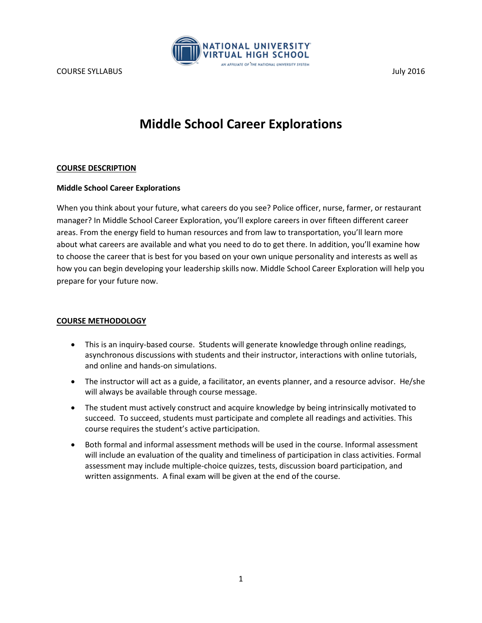

# **Middle School Career Explorations**

## **COURSE DESCRIPTION**

# **Middle School Career Explorations**

When you think about your future, what careers do you see? Police officer, nurse, farmer, or restaurant manager? In Middle School Career Exploration, you'll explore careers in over fifteen different career areas. From the energy field to human resources and from law to transportation, you'll learn more about what careers are available and what you need to do to get there. In addition, you'll examine how to choose the career that is best for you based on your own unique personality and interests as well as how you can begin developing your leadership skills now. Middle School Career Exploration will help you prepare for your future now.

# **COURSE METHODOLOGY**

- This is an inquiry-based course. Students will generate knowledge through online readings, asynchronous discussions with students and their instructor, interactions with online tutorials, and online and hands-on simulations.
- The instructor will act as a guide, a facilitator, an events planner, and a resource advisor. He/she will always be available through course message.
- The student must actively construct and acquire knowledge by being intrinsically motivated to succeed. To succeed, students must participate and complete all readings and activities. This course requires the student's active participation.
- Both formal and informal assessment methods will be used in the course. Informal assessment will include an evaluation of the quality and timeliness of participation in class activities. Formal assessment may include multiple-choice quizzes, tests, discussion board participation, and written assignments. A final exam will be given at the end of the course.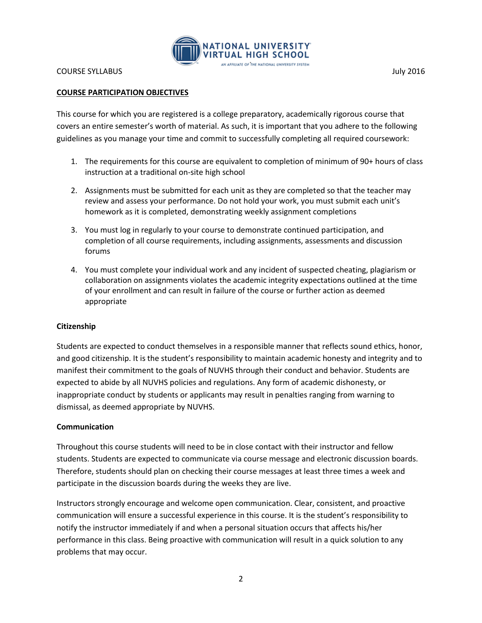

# **COURSE PARTICIPATION OBJECTIVES**

This course for which you are registered is a college preparatory, academically rigorous course that covers an entire semester's worth of material. As such, it is important that you adhere to the following guidelines as you manage your time and commit to successfully completing all required coursework:

- 1. The requirements for this course are equivalent to completion of minimum of 90+ hours of class instruction at a traditional on-site high school
- 2. Assignments must be submitted for each unit as they are completed so that the teacher may review and assess your performance. Do not hold your work, you must submit each unit's homework as it is completed, demonstrating weekly assignment completions
- 3. You must log in regularly to your course to demonstrate continued participation, and completion of all course requirements, including assignments, assessments and discussion forums
- 4. You must complete your individual work and any incident of suspected cheating, plagiarism or collaboration on assignments violates the academic integrity expectations outlined at the time of your enrollment and can result in failure of the course or further action as deemed appropriate

# **Citizenship**

Students are expected to conduct themselves in a responsible manner that reflects sound ethics, honor, and good citizenship. It is the student's responsibility to maintain academic honesty and integrity and to manifest their commitment to the goals of NUVHS through their conduct and behavior. Students are expected to abide by all NUVHS policies and regulations. Any form of academic dishonesty, or inappropriate conduct by students or applicants may result in penalties ranging from warning to dismissal, as deemed appropriate by NUVHS.

#### **Communication**

Throughout this course students will need to be in close contact with their instructor and fellow students. Students are expected to communicate via course message and electronic discussion boards. Therefore, students should plan on checking their course messages at least three times a week and participate in the discussion boards during the weeks they are live.

Instructors strongly encourage and welcome open communication. Clear, consistent, and proactive communication will ensure a successful experience in this course. It is the student's responsibility to notify the instructor immediately if and when a personal situation occurs that affects his/her performance in this class. Being proactive with communication will result in a quick solution to any problems that may occur.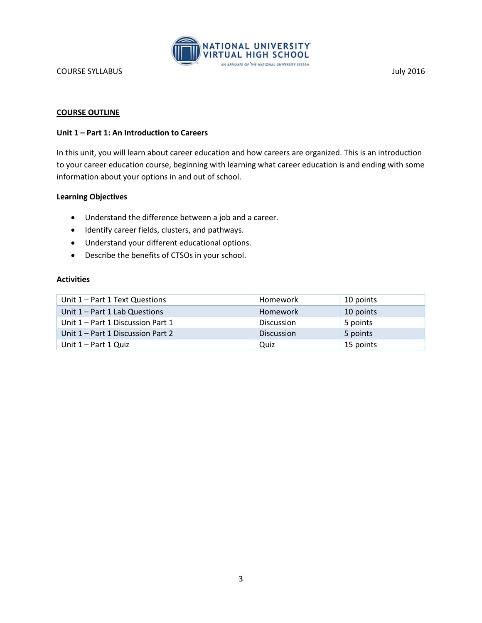

## **COURSE OUTLINE**

### **Unit 1 – Part 1: An Introduction to Careers**

In this unit, you will learn about career education and how careers are organized. This is an introduction to your career education course, beginning with learning what career education is and ending with some information about your options in and out of school.

## **Learning Objectives**

- Understand the difference between a job and a career.
- $\bullet$  Identify career fields, clusters, and pathways.
- Understand your different educational options.
- Describe the benefits of CTSOs in your school.

| Unit 1 - Part 1 Text Questions    | Homework          | 10 points |
|-----------------------------------|-------------------|-----------|
| Unit 1 - Part 1 Lab Questions     | <b>Homework</b>   | 10 points |
| Unit 1 – Part 1 Discussion Part 1 | <b>Discussion</b> | 5 points  |
| Unit 1 – Part 1 Discussion Part 2 | <b>Discussion</b> | 5 points  |
| Unit 1 – Part 1 Quiz              | Quiz              | 15 points |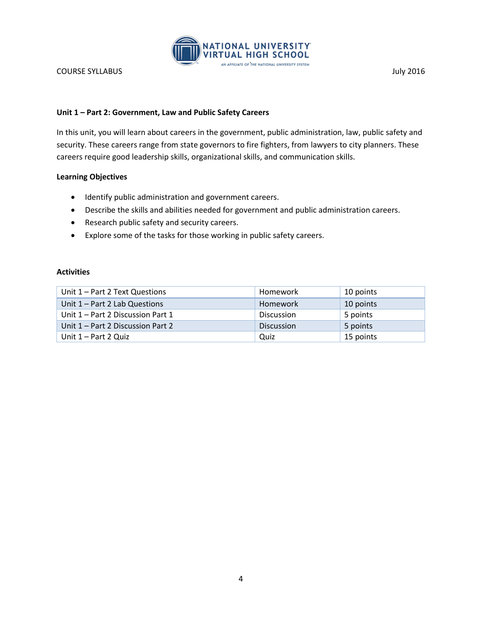

# **Unit 1 – Part 2: Government, Law and Public Safety Careers**

In this unit, you will learn about careers in the government, public administration, law, public safety and security. These careers range from state governors to fire fighters, from lawyers to city planners. These careers require good leadership skills, organizational skills, and communication skills.

# **Learning Objectives**

- Identify public administration and government careers.
- Describe the skills and abilities needed for government and public administration careers.
- Research public safety and security careers.
- Explore some of the tasks for those working in public safety careers.

| Unit 1 – Part 2 Text Questions    | Homework          | 10 points |
|-----------------------------------|-------------------|-----------|
| Unit 1 - Part 2 Lab Questions     | Homework          | 10 points |
| Unit 1 – Part 2 Discussion Part 1 | <b>Discussion</b> | 5 points  |
| Unit 1 – Part 2 Discussion Part 2 | <b>Discussion</b> | 5 points  |
| Unit 1 – Part 2 Quiz              | Quiz              | 15 points |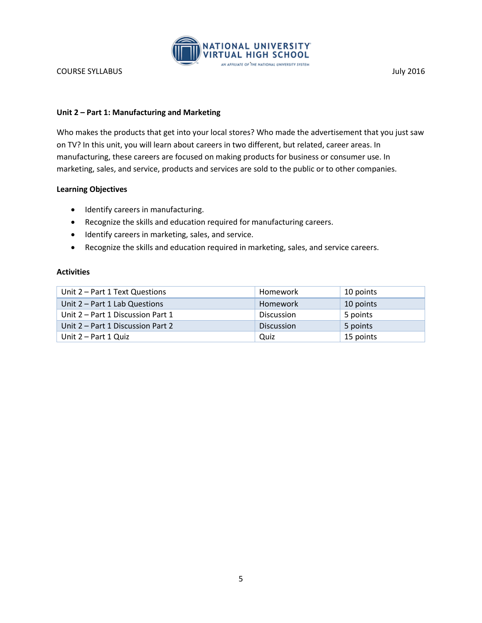

# **Unit 2 – Part 1: Manufacturing and Marketing**

Who makes the products that get into your local stores? Who made the advertisement that you just saw on TV? In this unit, you will learn about careers in two different, but related, career areas. In manufacturing, these careers are focused on making products for business or consumer use. In marketing, sales, and service, products and services are sold to the public or to other companies.

# **Learning Objectives**

- Identify careers in manufacturing.
- Recognize the skills and education required for manufacturing careers.
- $\bullet$  Identify careers in marketing, sales, and service.
- Recognize the skills and education required in marketing, sales, and service careers.

| Unit 2 – Part 1 Text Questions    | Homework          | 10 points |
|-----------------------------------|-------------------|-----------|
| Unit $2$ – Part 1 Lab Questions   | Homework          | 10 points |
| Unit 2 – Part 1 Discussion Part 1 | <b>Discussion</b> | 5 points  |
| Unit 2 – Part 1 Discussion Part 2 | <b>Discussion</b> | 5 points  |
| Unit 2 – Part 1 Quiz              | Quiz              | 15 points |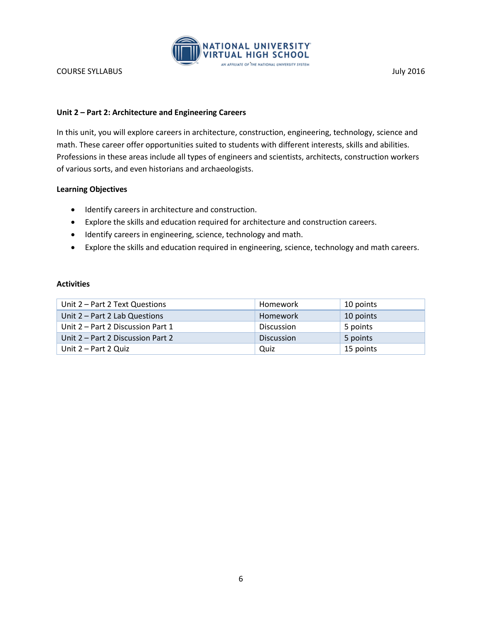

# **Unit 2 – Part 2: Architecture and Engineering Careers**

In this unit, you will explore careers in architecture, construction, engineering, technology, science and math. These career offer opportunities suited to students with different interests, skills and abilities. Professions in these areas include all types of engineers and scientists, architects, construction workers of various sorts, and even historians and archaeologists.

# **Learning Objectives**

- $\bullet$  Identify careers in architecture and construction.
- Explore the skills and education required for architecture and construction careers.
- $\bullet$  Identify careers in engineering, science, technology and math.
- Explore the skills and education required in engineering, science, technology and math careers.

| Unit 2 – Part 2 Text Questions    | Homework          | 10 points |
|-----------------------------------|-------------------|-----------|
| Unit 2 - Part 2 Lab Questions     | Homework          | 10 points |
| Unit 2 – Part 2 Discussion Part 1 | <b>Discussion</b> | 5 points  |
| Unit 2 – Part 2 Discussion Part 2 | <b>Discussion</b> | 5 points  |
| Unit 2 – Part 2 Quiz              | Quiz              | 15 points |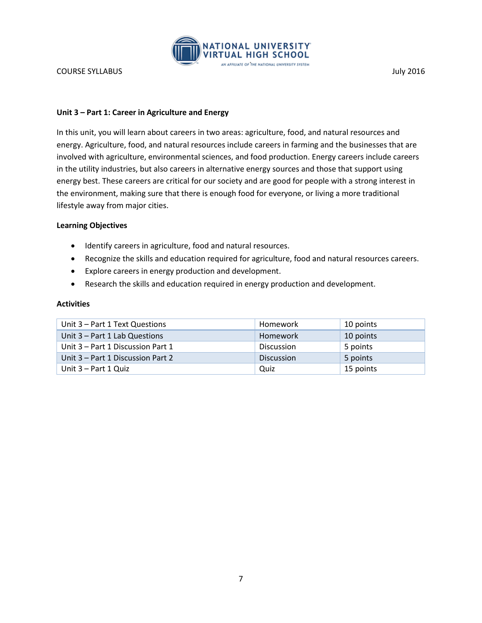

## **Unit 3 – Part 1: Career in Agriculture and Energy**

In this unit, you will learn about careers in two areas: agriculture, food, and natural resources and energy. Agriculture, food, and natural resources include careers in farming and the businesses that are involved with agriculture, environmental sciences, and food production. Energy careers include careers in the utility industries, but also careers in alternative energy sources and those that support using energy best. These careers are critical for our society and are good for people with a strong interest in the environment, making sure that there is enough food for everyone, or living a more traditional lifestyle away from major cities.

#### **Learning Objectives**

- Identify careers in agriculture, food and natural resources.
- Recognize the skills and education required for agriculture, food and natural resources careers.
- Explore careers in energy production and development.
- Research the skills and education required in energy production and development.

| Unit 3 – Part 1 Text Questions    | Homework          | 10 points |
|-----------------------------------|-------------------|-----------|
| Unit $3$ – Part 1 Lab Questions   | Homework          | 10 points |
| Unit 3 – Part 1 Discussion Part 1 | Discussion        | 5 points  |
| Unit 3 – Part 1 Discussion Part 2 | <b>Discussion</b> | 5 points  |
| Unit 3 – Part 1 Quiz              | Quiz              | 15 points |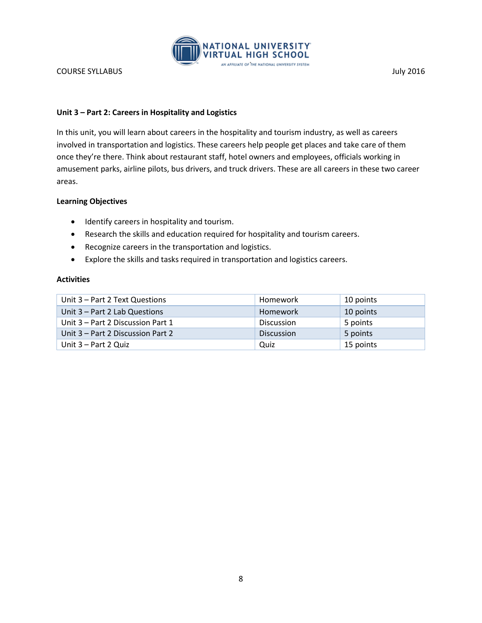

# **Unit 3 – Part 2: Careers in Hospitality and Logistics**

In this unit, you will learn about careers in the hospitality and tourism industry, as well as careers involved in transportation and logistics. These careers help people get places and take care of them once they're there. Think about restaurant staff, hotel owners and employees, officials working in amusement parks, airline pilots, bus drivers, and truck drivers. These are all careers in these two career areas.

## **Learning Objectives**

- Identify careers in hospitality and tourism.
- Research the skills and education required for hospitality and tourism careers.
- Recognize careers in the transportation and logistics.
- Explore the skills and tasks required in transportation and logistics careers.

| Unit 3 – Part 2 Text Questions    | Homework          | 10 points |
|-----------------------------------|-------------------|-----------|
| Unit $3$ – Part 2 Lab Questions   | Homework          | 10 points |
| Unit 3 – Part 2 Discussion Part 1 | Discussion        | 5 points  |
| Unit 3 – Part 2 Discussion Part 2 | <b>Discussion</b> | 5 points  |
| Unit 3 – Part 2 Quiz              | Quiz              | 15 points |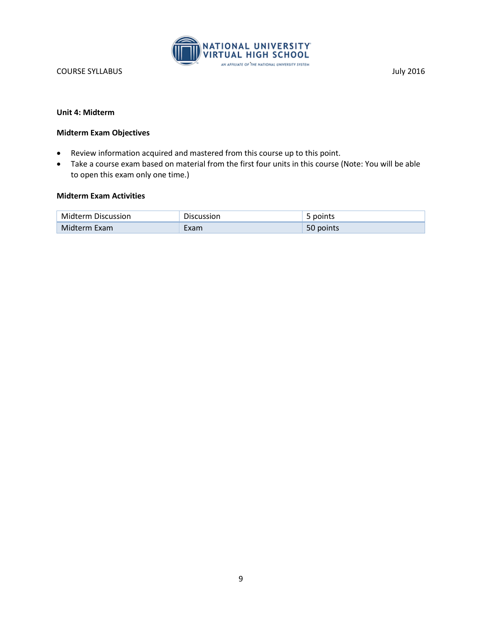

# **Unit 4: Midterm**

## **Midterm Exam Objectives**

- Review information acquired and mastered from this course up to this point.
- Take a course exam based on material from the first four units in this course (Note: You will be able to open this exam only one time.)

# **Midterm Exam Activities**

| <b>Midterm Discussion</b> | <b>Discussion</b> | points    |
|---------------------------|-------------------|-----------|
| Midterm Exam              | Exam              | 50 points |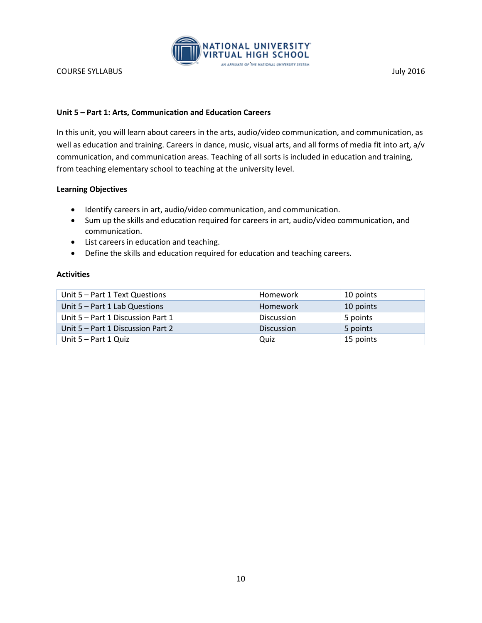

# **Unit 5 – Part 1: Arts, Communication and Education Careers**

In this unit, you will learn about careers in the arts, audio/video communication, and communication, as well as education and training. Careers in dance, music, visual arts, and all forms of media fit into art, a/v communication, and communication areas. Teaching of all sorts is included in education and training, from teaching elementary school to teaching at the university level.

# **Learning Objectives**

- Identify careers in art, audio/video communication, and communication.
- Sum up the skills and education required for careers in art, audio/video communication, and communication.
- List careers in education and teaching.
- Define the skills and education required for education and teaching careers.

| Unit 5 – Part 1 Text Questions    | Homework          | 10 points |
|-----------------------------------|-------------------|-----------|
| Unit $5 - Part 1$ Lab Questions   | Homework          | 10 points |
| Unit 5 – Part 1 Discussion Part 1 | Discussion        | 5 points  |
| Unit 5 – Part 1 Discussion Part 2 | <b>Discussion</b> | 5 points  |
| Unit 5 – Part 1 Quiz              | Quiz              | 15 points |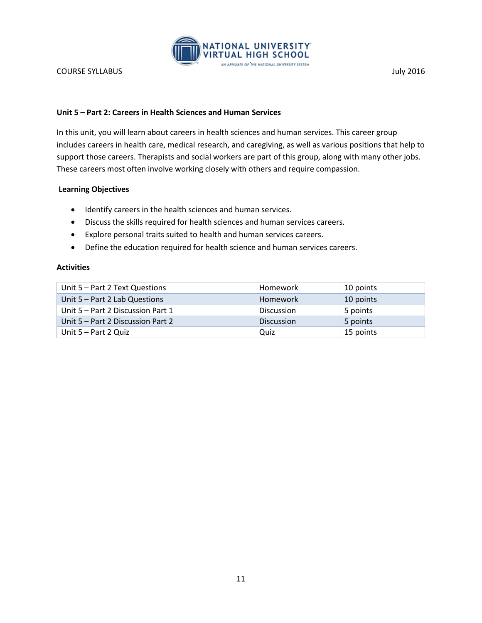

# **Unit 5 – Part 2: Careers in Health Sciences and Human Services**

In this unit, you will learn about careers in health sciences and human services. This career group includes careers in health care, medical research, and caregiving, as well as various positions that help to support those careers. Therapists and social workers are part of this group, along with many other jobs. These careers most often involve working closely with others and require compassion.

## **Learning Objectives**

- Identify careers in the health sciences and human services.
- Discuss the skills required for health sciences and human services careers.
- Explore personal traits suited to health and human services careers.
- Define the education required for health science and human services careers.

| Unit 5 – Part 2 Text Questions    | Homework          | 10 points |
|-----------------------------------|-------------------|-----------|
| Unit $5 - Part 2$ Lab Questions   | Homework          | 10 points |
| Unit 5 – Part 2 Discussion Part 1 | Discussion        | 5 points  |
| Unit 5 – Part 2 Discussion Part 2 | <b>Discussion</b> | 5 points  |
| Unit 5 – Part 2 Quiz              | Quiz              | 15 points |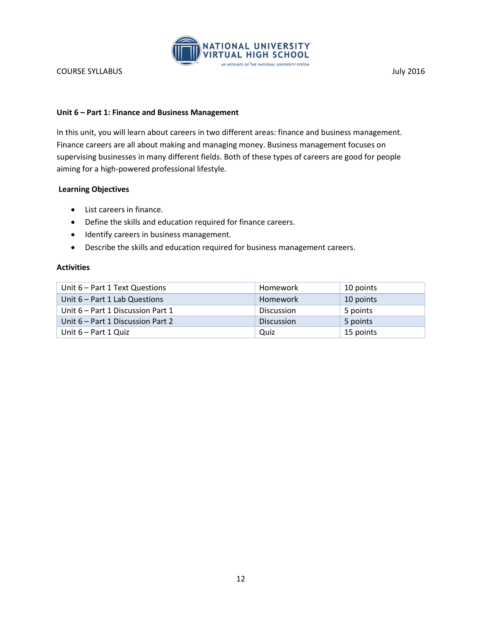

# **Unit 6 – Part 1: Finance and Business Management**

In this unit, you will learn about careers in two different areas: finance and business management. Finance careers are all about making and managing money. Business management focuses on supervising businesses in many different fields. Both of these types of careers are good for people aiming for a high-powered professional lifestyle.

## **Learning Objectives**

- List careers in finance.
- Define the skills and education required for finance careers.
- Identify careers in business management.
- Describe the skills and education required for business management careers.

| Unit 6 – Part 1 Text Questions    | Homework          | 10 points |
|-----------------------------------|-------------------|-----------|
| Unit $6$ – Part 1 Lab Questions   | <b>Homework</b>   | 10 points |
| Unit 6 – Part 1 Discussion Part 1 | <b>Discussion</b> | 5 points  |
| Unit 6 – Part 1 Discussion Part 2 | <b>Discussion</b> | 5 points  |
| Unit $6 - Part 1$ Quiz            | Quiz              | 15 points |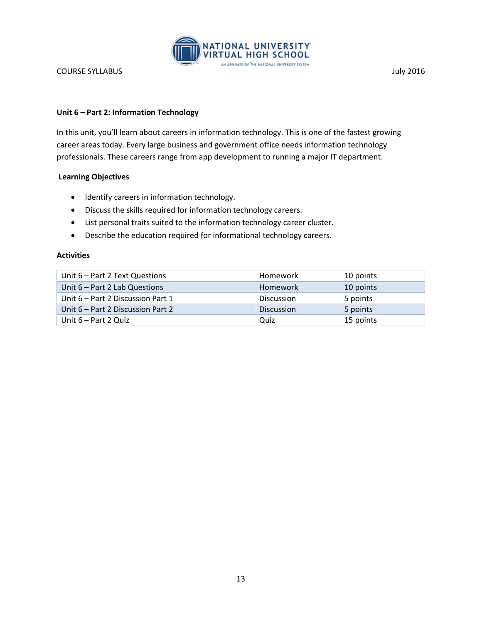

# **Unit 6 – Part 2: Information Technology**

In this unit, you'll learn about careers in information technology. This is one of the fastest growing career areas today. Every large business and government office needs information technology professionals. These careers range from app development to running a major IT department.

# **Learning Objectives**

- $\bullet$  Identify careers in information technology.
- Discuss the skills required for information technology careers.
- List personal traits suited to the information technology career cluster.
- Describe the education required for informational technology careers.

| Unit $6$ – Part 2 Text Questions  | Homework          | 10 points |
|-----------------------------------|-------------------|-----------|
| Unit $6$ – Part 2 Lab Questions   | Homework          | 10 points |
| Unit 6 – Part 2 Discussion Part 1 | <b>Discussion</b> | 5 points  |
| Unit 6 – Part 2 Discussion Part 2 | <b>Discussion</b> | 5 points  |
| Unit 6 – Part 2 Quiz              | Quiz              | 15 points |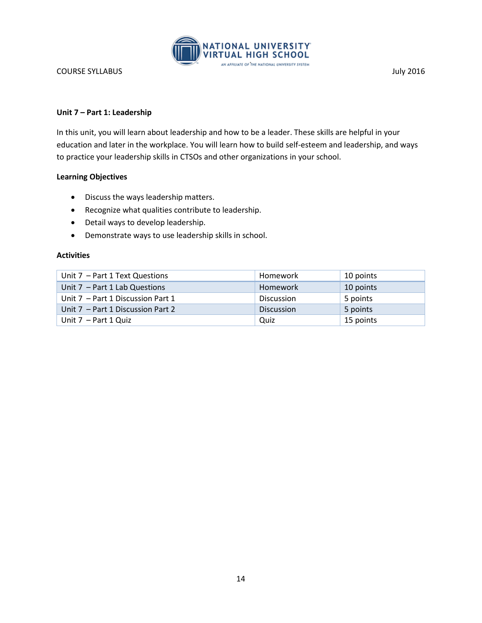

# **Unit 7 – Part 1: Leadership**

In this unit, you will learn about leadership and how to be a leader. These skills are helpful in your education and later in the workplace. You will learn how to build self-esteem and leadership, and ways to practice your leadership skills in CTSOs and other organizations in your school.

# **Learning Objectives**

- Discuss the ways leadership matters.
- Recognize what qualities contribute to leadership.
- Detail ways to develop leadership.
- Demonstrate ways to use leadership skills in school.

| Unit $7$ – Part 1 Text Questions  | Homework          | 10 points |
|-----------------------------------|-------------------|-----------|
| Unit $7$ – Part 1 Lab Questions   | Homework          | 10 points |
| Unit 7 – Part 1 Discussion Part 1 | Discussion        | 5 points  |
| Unit 7 – Part 1 Discussion Part 2 | <b>Discussion</b> | 5 points  |
| Unit $7$ – Part 1 Quiz            | Quiz              | 15 points |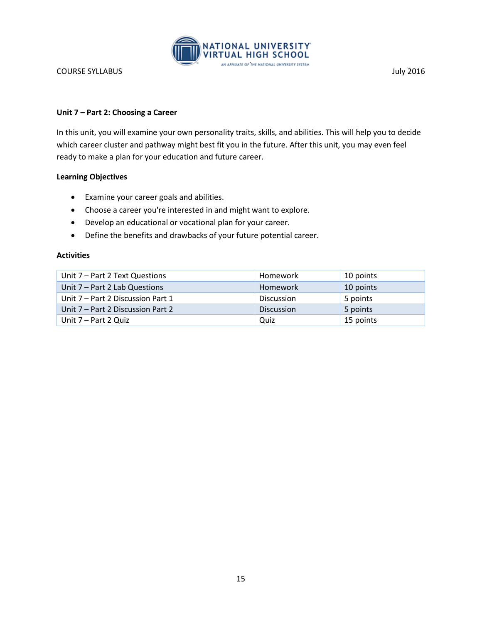

# **Unit 7 – Part 2: Choosing a Career**

In this unit, you will examine your own personality traits, skills, and abilities. This will help you to decide which career cluster and pathway might best fit you in the future. After this unit, you may even feel ready to make a plan for your education and future career.

# **Learning Objectives**

- Examine your career goals and abilities.
- Choose a career you're interested in and might want to explore.
- Develop an educational or vocational plan for your career.
- Define the benefits and drawbacks of your future potential career.

| Unit 7 – Part 2 Text Questions    | Homework          | 10 points |
|-----------------------------------|-------------------|-----------|
| Unit 7 - Part 2 Lab Questions     | Homework          | 10 points |
| Unit 7 – Part 2 Discussion Part 1 | <b>Discussion</b> | 5 points  |
| Unit 7 – Part 2 Discussion Part 2 | <b>Discussion</b> | 5 points  |
| Unit 7 – Part 2 Quiz              | Quiz              | 15 points |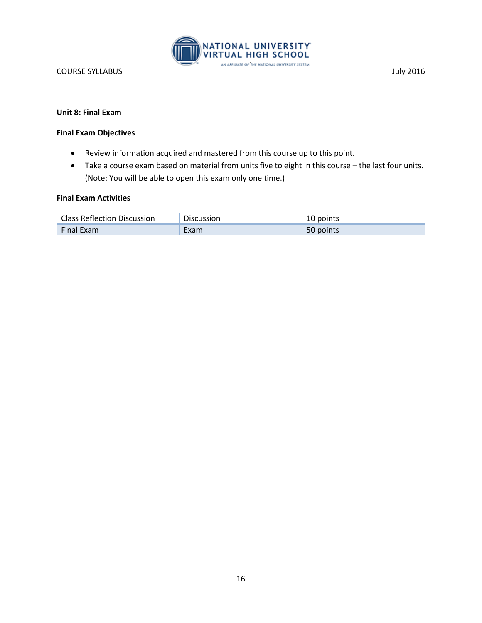

### **Unit 8: Final Exam**

## **Final Exam Objectives**

- Review information acquired and mastered from this course up to this point.
- Take a course exam based on material from units five to eight in this course the last four units. (Note: You will be able to open this exam only one time.)

#### **Final Exam Activities**

| <b>Class Reflection Discussion</b> | Discussion | 10 points |
|------------------------------------|------------|-----------|
| <b>Final Exam</b>                  | :xam       | 50 points |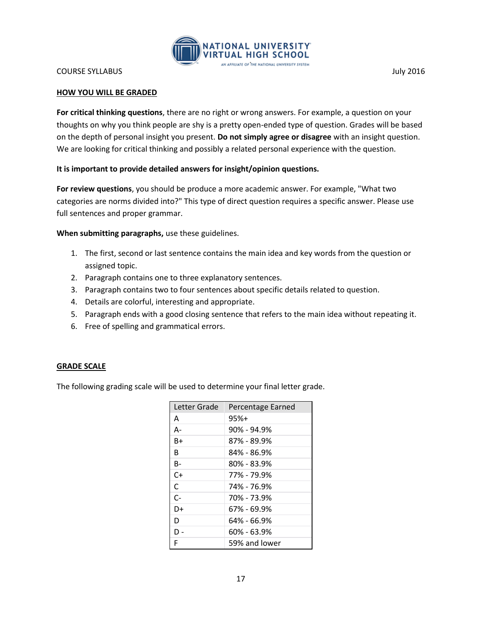

## **HOW YOU WILL BE GRADED**

**For critical thinking questions**, there are no right or wrong answers. For example, a question on your thoughts on why you think people are shy is a pretty open-ended type of question. Grades will be based on the depth of personal insight you present. **Do not simply agree or disagree** with an insight question. We are looking for critical thinking and possibly a related personal experience with the question.

# **It is important to provide detailed answers for insight/opinion questions.**

**For review questions**, you should be produce a more academic answer. For example, "What two categories are norms divided into?" This type of direct question requires a specific answer. Please use full sentences and proper grammar.

**When submitting paragraphs,** use these guidelines.

- 1. The first, second or last sentence contains the main idea and key words from the question or assigned topic.
- 2. Paragraph contains one to three explanatory sentences.
- 3. Paragraph contains two to four sentences about specific details related to question.
- 4. Details are colorful, interesting and appropriate.
- 5. Paragraph ends with a good closing sentence that refers to the main idea without repeating it.
- 6. Free of spelling and grammatical errors.

#### **GRADE SCALE**

The following grading scale will be used to determine your final letter grade.

| Letter Grade | Percentage Earned |
|--------------|-------------------|
| A            | $95%+$            |
| А-           | $90\%$ - 94.9%    |
| R+           | 87% - 89.9%       |
| R            | 84% - 86.9%       |
| B-           | 80% - 83.9%       |
| C+           | 77% - 79.9%       |
| C            | 74% - 76.9%       |
| $C-$         | 70% - 73.9%       |
| D+           | 67% - 69.9%       |
| D            | 64% - 66.9%       |
| D -          | 60% - 63.9%       |
| F            | 59% and lower     |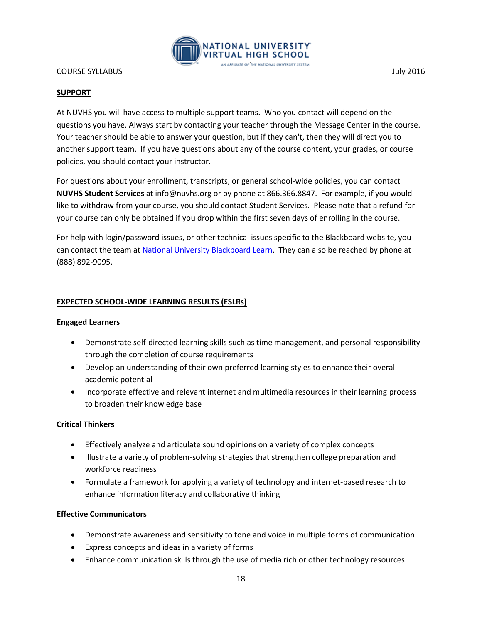

## **SUPPORT**

At NUVHS you will have access to multiple support teams. Who you contact will depend on the questions you have. Always start by contacting your teacher through the Message Center in the course. Your teacher should be able to answer your question, but if they can't, then they will direct you to another support team. If you have questions about any of the course content, your grades, or course policies, you should contact your instructor.

For questions about your enrollment, transcripts, or general school-wide policies, you can contact **NUVHS Student Services** at info@nuvhs.org or by phone at 866.366.8847. For example, if you would like to withdraw from your course, you should contact Student Services. Please note that a refund for your course can only be obtained if you drop within the first seven days of enrolling in the course.

For help with login/password issues, or other technical issues specific to the Blackboard website, you can contact the team at [National University Blackboard Learn.](http://nu.edusupportcenter.com/sims/helpcenter/common/layout/SelfHelpHome.seam?inst_name=nationalu) They can also be reached by phone at (888) 892-9095.

## **EXPECTED SCHOOL-WIDE LEARNING RESULTS (ESLRs)**

#### **Engaged Learners**

- Demonstrate self-directed learning skills such as time management, and personal responsibility through the completion of course requirements
- Develop an understanding of their own preferred learning styles to enhance their overall academic potential
- Incorporate effective and relevant internet and multimedia resources in their learning process to broaden their knowledge base

#### **Critical Thinkers**

- Effectively analyze and articulate sound opinions on a variety of complex concepts
- Illustrate a variety of problem-solving strategies that strengthen college preparation and workforce readiness
- Formulate a framework for applying a variety of technology and internet-based research to enhance information literacy and collaborative thinking

#### **Effective Communicators**

- Demonstrate awareness and sensitivity to tone and voice in multiple forms of communication
- Express concepts and ideas in a variety of forms
- Enhance communication skills through the use of media rich or other technology resources